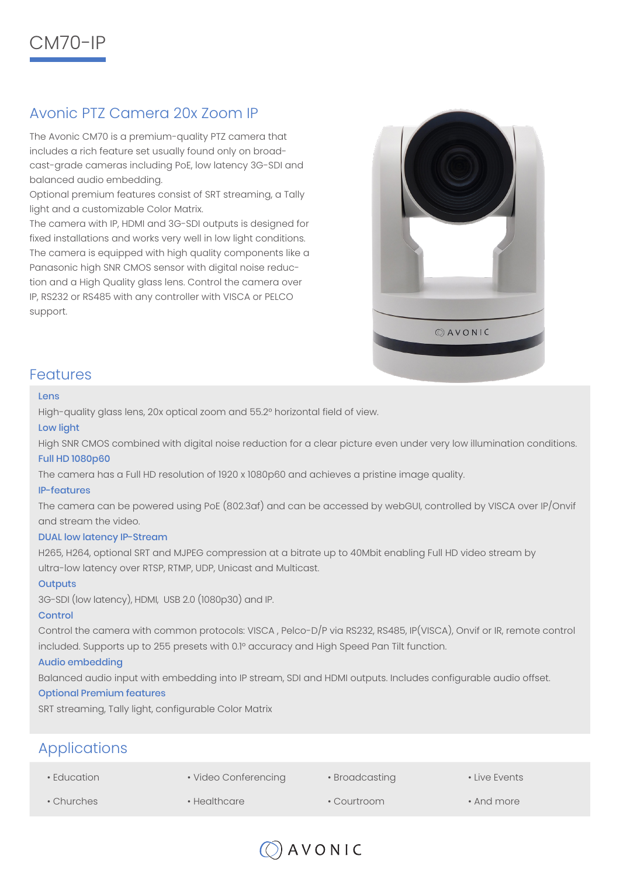

# Avonic PTZ Camera 20x Zoom IP

The Avonic CM70 is a premium-quality PTZ camera that includes a rich feature set usually found only on broadcast-grade cameras including PoE, low latency 3G-SDI and balanced audio embedding.

Optional premium features consist of SRT streaming, a Tally light and a customizable Color Matrix.

The camera with IP, HDMI and 3G-SDI outputs is designed for fixed installations and works very well in low light conditions. The camera is equipped with high quality components like a Panasonic high SNR CMOS sensor with digital noise reduction and a High Quality glass lens. Control the camera over IP, RS232 or RS485 with any controller with VISCA or PELCO support.



## Features

#### Lens

High-quality glass lens, 20x optical zoom and 55.2° horizontal field of view.

#### Low light

High SNR CMOS combined with digital noise reduction for a clear picture even under very low illumination conditions.

#### Full HD 1080p60

The camera has a Full HD resolution of 1920 x 1080p60 and achieves a pristine image quality.

#### IP-features

The camera can be powered using PoE (802.3af) and can be accessed by webGUI, controlled by VISCA over IP/Onvif and stream the video.

#### DUAL low latency IP-Stream

H265, H264, optional SRT and MJPEG compression at a bitrate up to 40Mbit enabling Full HD video stream by ultra-low latency over RTSP, RTMP, UDP, Unicast and Multicast.

#### **Outputs**

3G-SDI (low latency), HDMI, USB 2.0 (1080p30) and IP.

#### **Control**

Control the camera with common protocols: VISCA , Pelco-D/P via RS232, RS485, IP(VISCA), Onvif or IR, remote control included. Supports up to 255 presets with 0.1° accuracy and High Speed Pan Tilt function.

#### Audio embedding

Balanced audio input with embedding into IP stream, SDI and HDMI outputs. Includes configurable audio offset.

#### Optional Premium features

SRT streaming, Tally light, configurable Color Matrix

# Applications

• Education

• Video Conferencing

- Broadcasting
- Live Events

- Churches
- Healthcare
- Courtroom
- And more